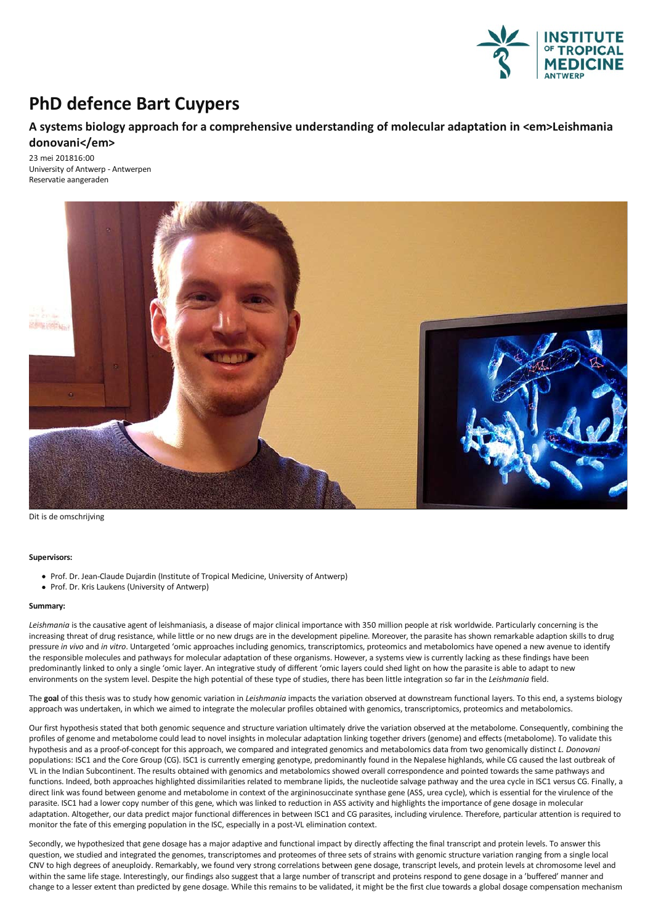

# **PhD defence Bart Cuypers**

## **A systems biology approach for a comprehensive understanding of molecular adaptation in <em>Leishmania donovani</em>**

23 mei 201816:00 University of Antwerp - Antwerpen Reservatie aangeraden



Dit is de omschrijving

#### **Supervisors:**

- Prof. Dr. Jean-Claude Dujardin (Institute of Tropical Medicine, University of Antwerp)
- Prof. Dr. Kris Laukens (University of Antwerp)

#### **Summary:**

Leishmania is the causative agent of leishmaniasis, a disease of major clinical importance with 350 million people at risk worldwide. Particularly concerning is the increasing threat of drug resistance, while little or no new drugs are in the development pipeline. Moreover, the parasite has shown remarkable adaption skills to drug pressure *in vivo* and *in vitro*. Untargeted 'omicapproaches including genomics, transcriptomics, proteomicsand metabolomics have opened a new avenue to identify the responsible molecules and pathways for molecular adaptation of these organisms. However, a systems view is currently lacking as these findings have been predominantly linked to only a single 'omic layer. An integrative study of different 'omic layers could shed light on how the parasite is able to adapt to new environments on the system level. Despite the high potential of these type of studies, there has been little integration so far in the *Leishmania* field.

The goal of this thesis was to study how genomic variation in Leishmania impacts the variation observed at downstream functional layers. To this end, a systems biology approach was undertaken, in which we aimed to integrate the molecular profiles obtained with genomics, transcriptomics, proteomics and metabolomics.

Our first hypothesis stated that both genomic sequence and structure variation ultimately drive the variation observed at the metabolome. Consequently, combining the profiles of genome and metabolome could lead to novel insights in molecular adaptation linking together drivers (genome) and effects (metabolome). To validate this hypothesisand asa proof-of-concept for thisapproach, we compared and integrated genomicsand metabolomics datafrom two genomically distinct *L. Donovani* populations: ISC1 and the Core Group (CG). ISC1 is currently emerging genotype, predominantly found in the Nepalese highlands, while CG caused the last outbreak of VL in the Indian Subcontinent. The results obtained with genomics and metabolomics showed overall correspondence and pointed towards the same pathways and functions. Indeed, both approaches highlighted dissimilarities related to membrane lipids, the nucleotide salvage pathway and the urea cycle in ISC1 versus CG. Finally, a direct link was found between genome and metabolome in context of the argininosuccinate synthase gene (ASS, urea cycle), which is essential for the virulence of the parasite. ISC1 had alower copy number of thisgene, which was linked to reduction in ASS activity and highlights the importance ofgene dosage in molecular adaptation. Altogether, our data predict major functional differences in between ISC1 and CG parasites, including virulence. Therefore, particular attention is required to monitor the fate of this emerging population in th

Secondly, we hypothesized that gene dosage has a major adaptive and functional impact by directly affecting the final transcript and protein levels. To answer this question, we studied and integrated the genomes, transcriptomes and proteomes of three sets of strains with genomic structure variation ranging from a single local CNV to high degrees of aneuploidy. Remarkably, we found very strong correlations between gene dosage, transcript levels, and protein levels at chromosome level and<br>within the same life stage. Interestingly, our findings al change to a lesser extent than predicted by gene dosage. While this remains to be validated, it might be the first clue towards a global dosage compensation mechanism